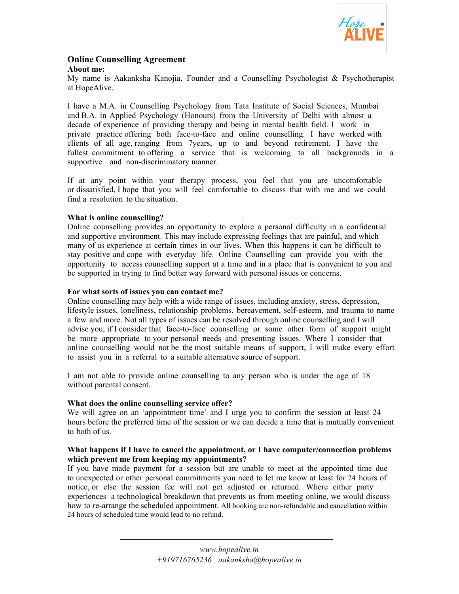

#### **Online Counselling Agreement About me:**

My name is Aakanksha Kanojia, Founder and a Counselling Psychologist & Psychotherapist at HopeAlive.

I have a M.A. in Counselling Psychology from Tata Institute of Social Sciences, Mumbai and B.A. in Applied Psychology (Honours) from the University of Delhi with almost a decade of experience of providing therapy and being in mental health field. I work in private practice offering both face-to-face and online counselling. I have worked with clients of all age, ranging from 7years, up to and beyond retirement. I have the fullest commitment to offering a service that is welcoming to all backgrounds in a supportive and non-discriminatory manner.

If at any point within your therapy process, you feel that you are uncomfortable or dissatisfied, I hope that you will feel comfortable to discuss that with me and we could find a resolution to the situation.

# **What is online counselling?**

Online counselling provides an opportunity to explore a personal difficulty in a confidential and supportive environment. This may include expressing feelings that are painful, and which many of us experience at certain times in our lives. When this happens it can be difficult to stay positive and cope with everyday life. Online Counselling can provide you with the opportunity to access counselling support at a time and in a place that is convenient to you and be supported in trying to find better way forward with personal issues or concerns.

## **For what sorts of issues you can contact me?**

Online counselling may help with a wide range of issues, including anxiety, stress, depression, lifestyle issues, loneliness, relationship problems, bereavement, self-esteem, and trauma to name a few and more. Not all types of issues can be resolved through online counselling and I will advise you, if I consider that face-to-face counselling or some other form of support might be more appropriate to your personal needs and presenting issues. Where I consider that online counselling would not be the most suitable means of support, I will make every effort to assist you in a referral to a suitable alternative source of support.

I am not able to provide online counselling to any person who is under the age of 18 without parental consent.

## **What does the online counselling service offer?**

We will agree on an 'appointment time' and I urge you to confirm the session at least 24 hours before the preferred time of the session or we can decide a time that is mutually convenient to both of us.

### **What happens if I have to cancel the appointment, or I have computer/connection problems which prevent me from keeping my appointments?**

If you have made payment for a session but are unable to meet at the appointed time due to unexpected or other personal commitments you need to let me know at least for 24 hours of notice, or else the session fee will not get adjusted or returned. Where either party experiences a technological breakdown that prevents us from meeting online, we would discuss how to re-arrange the scheduled appointment. All booking are non-refundable and cancellation within 24 hours of scheduled time would lead to no refund.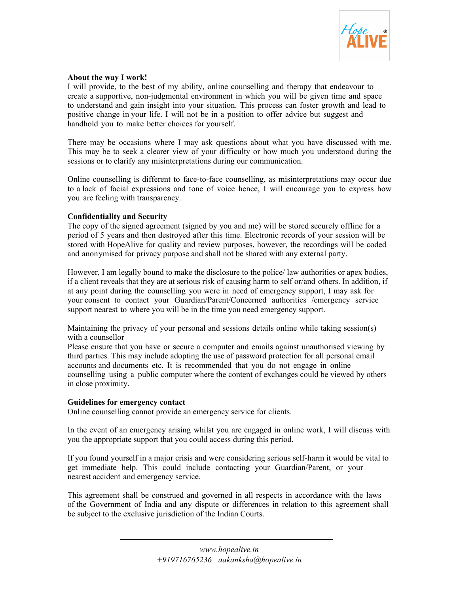

## **About the way I work!**

I will provide, to the best of my ability, online counselling and therapy that endeavour to create a supportive, non-judgmental environment in which you will be given time and space to understand and gain insight into your situation. This process can foster growth and lead to positive change in your life. I will not be in a position to offer advice but suggest and handhold you to make better choices for yourself.

There may be occasions where I may ask questions about what you have discussed with me. This may be to seek a clearer view of your difficulty or how much you understood during the sessions or to clarify any misinterpretations during our communication.

Online counselling is different to face-to-face counselling, as misinterpretations may occur due to a lack of facial expressions and tone of voice hence, I will encourage you to express how you are feeling with transparency.

## **Confidentiality and Security**

The copy of the signed agreement (signed by you and me) will be stored securely offline for a period of 5 years and then destroyed after this time. Electronic records of your session will be stored with HopeAlive for quality and review purposes, however, the recordings will be coded and anonymised for privacy purpose and shall not be shared with any external party.

However, I am legally bound to make the disclosure to the police/ law authorities or apex bodies, if a client reveals that they are at serious risk of causing harm to self or/and others. In addition, if at any point during the counselling you were in need of emergency support, I may ask for your consent to contact your Guardian/Parent/Concerned authorities /emergency service support nearest to where you will be in the time you need emergency support.

Maintaining the privacy of your personal and sessions details online while taking session(s) with a counsellor

Please ensure that you have or secure a computer and emails against unauthorised viewing by third parties. This may include adopting the use of password protection for all personal email accounts and documents etc. It is recommended that you do not engage in online counselling using a public computer where the content of exchanges could be viewed by others in close proximity.

## **Guidelines for emergency contact**

Online counselling cannot provide an emergency service for clients.

In the event of an emergency arising whilst you are engaged in online work, I will discuss with you the appropriate support that you could access during this period.

If you found yourself in a major crisis and were considering serious self-harm it would be vital to get immediate help. This could include contacting your Guardian/Parent, or your nearest accident and emergency service.

This agreement shall be construed and governed in all respects in accordance with the laws of the Government of India and any dispute or differences in relation to this agreement shall be subject to the exclusive jurisdiction of the Indian Courts.